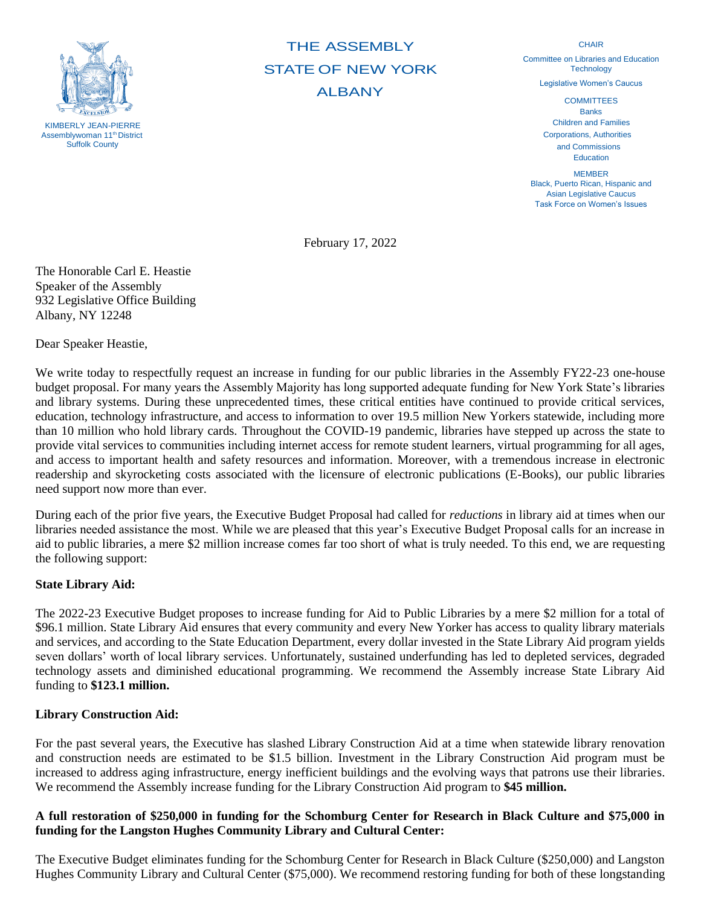

# THE ASSEMBLY STATE OF NEW YORK **ALBANY**

**CHAIR** 

Committee on Libraries and Education **Technology** Legislative Women's Caucus

> **COMMITTEES** Banks Children and Families Corporations, Authorities

 and Commissions Education

**MEMBER** Black, Puerto Rican, Hispanic and Asian Legislative Caucus Task Force on Women's Issues

February 17, 2022

The Honorable Carl E. Heastie Speaker of the Assembly 932 Legislative Office Building Albany, NY 12248

Dear Speaker Heastie,

We write today to respectfully request an increase in funding for our public libraries in the Assembly FY22-23 one-house budget proposal. For many years the Assembly Majority has long supported adequate funding for New York State's libraries and library systems. During these unprecedented times, these critical entities have continued to provide critical services, education, technology infrastructure, and access to information to over 19.5 million New Yorkers statewide, including more than 10 million who hold library cards. Throughout the COVID-19 pandemic, libraries have stepped up across the state to provide vital services to communities including internet access for remote student learners, virtual programming for all ages, and access to important health and safety resources and information. Moreover, with a tremendous increase in electronic readership and skyrocketing costs associated with the licensure of electronic publications (E-Books), our public libraries need support now more than ever.

During each of the prior five years, the Executive Budget Proposal had called for *reductions* in library aid at times when our libraries needed assistance the most. While we are pleased that this year's Executive Budget Proposal calls for an increase in aid to public libraries, a mere \$2 million increase comes far too short of what is truly needed. To this end, we are requesting the following support:

## **State Library Aid:**

The 2022-23 Executive Budget proposes to increase funding for Aid to Public Libraries by a mere \$2 million for a total of \$96.1 million. State Library Aid ensures that every community and every New Yorker has access to quality library materials and services, and according to the State Education Department, every dollar invested in the State Library Aid program yields seven dollars' worth of local library services. Unfortunately, sustained underfunding has led to depleted services, degraded technology assets and diminished educational programming. We recommend the Assembly increase State Library Aid funding to **\$123.1 million.**

## **Library Construction Aid:**

For the past several years, the Executive has slashed Library Construction Aid at a time when statewide library renovation and construction needs are estimated to be \$1.5 billion. Investment in the Library Construction Aid program must be increased to address aging infrastructure, energy inefficient buildings and the evolving ways that patrons use their libraries. We recommend the Assembly increase funding for the Library Construction Aid program to **\$45 million.**

## **A full restoration of \$250,000 in funding for the Schomburg Center for Research in Black Culture and \$75,000 in funding for the Langston Hughes Community Library and Cultural Center:**

The Executive Budget eliminates funding for the Schomburg Center for Research in Black Culture (\$250,000) and Langston Hughes Community Library and Cultural Center (\$75,000). We recommend restoring funding for both of these longstanding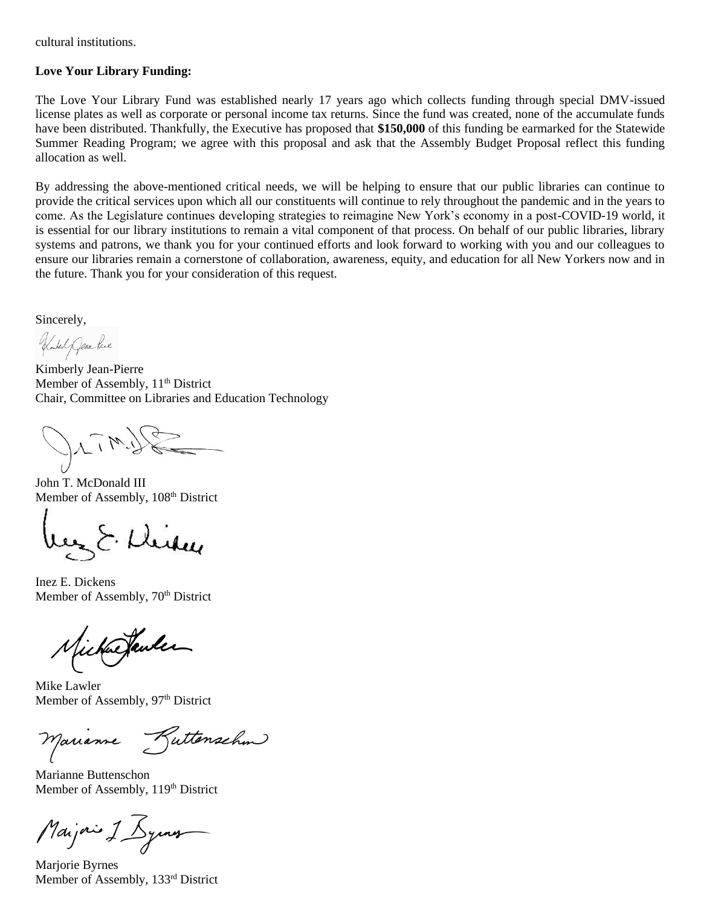cultural institutions.

### **Love Your Library Funding:**

The Love Your Library Fund was established nearly 17 years ago which collects funding through special DMV-issued license plates as well as corporate or personal income tax returns. Since the fund was created, none of the accumulate funds have been distributed. Thankfully, the Executive has proposed that **\$150,000** of this funding be earmarked for the Statewide Summer Reading Program; we agree with this proposal and ask that the Assembly Budget Proposal reflect this funding allocation as well.

By addressing the above-mentioned critical needs, we will be helping to ensure that our public libraries can continue to provide the critical services upon which all our constituents will continue to rely throughout the pandemic and in the years to come. As the Legislature continues developing strategies to reimagine New York's economy in a post-COVID-19 world, it is essential for our library institutions to remain a vital component of that process. On behalf of our public libraries, library systems and patrons, we thank you for your continued efforts and look forward to working with you and our colleagues to ensure our libraries remain a cornerstone of collaboration, awareness, equity, and education for all New Yorkers now and in the future. Thank you for your consideration of this request.

Sincerely,

Kombert Gear Pice

Kimberly Jean-Pierre Member of Assembly,  $11<sup>th</sup>$  District Chair, Committee on Libraries and Education Technology

 $\gg$  (  $M_{1}$  )

John T. McDonald III Member of Assembly, 108<sup>th</sup> District

ber E. Deiser

Inez E. Dickens Member of Assembly, 70<sup>th</sup> District

Michae Jander

Mike Lawler Member of Assembly, 97<sup>th</sup> District

Marianne Buttenschm

Marianne Buttenschon Member of Assembly, 119<sup>th</sup> District

Maijois J Symer

Marjorie Byrnes Member of Assembly, 133rd District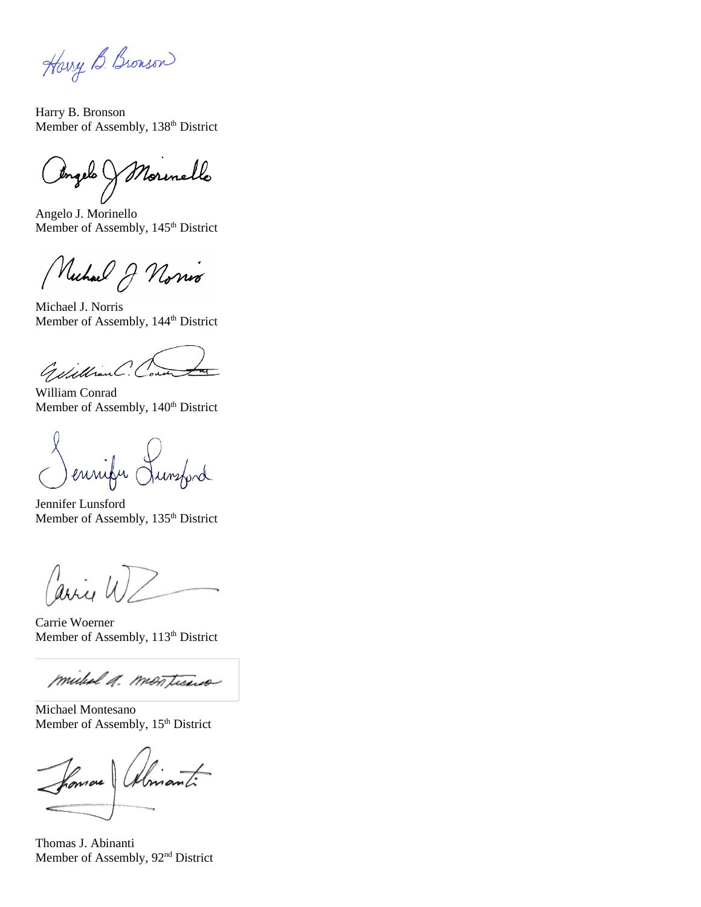Harry B. Bronson

Harry B. Bronson Member of Assembly, 138<sup>th</sup> District

Ongelo & Morenello

Angelo J. Morinello Member of Assembly, 145<sup>th</sup> District

(Nichael J Norrir

Michael J. Norris Member of Assembly, 144<sup>th</sup> District

Gillian

William Conrad Member of Assembly, 140<sup>th</sup> District

ennifer Lunsford

Jennifer Lunsford Member of Assembly, 135<sup>th</sup> District

arriv

Carrie Woerner Member of Assembly, 113<sup>th</sup> District

mideal a. montienco

Michael Montesano Member of Assembly, 15<sup>th</sup> District

Stance Abricant

Thomas J. Abinanti Member of Assembly, 92<sup>nd</sup> District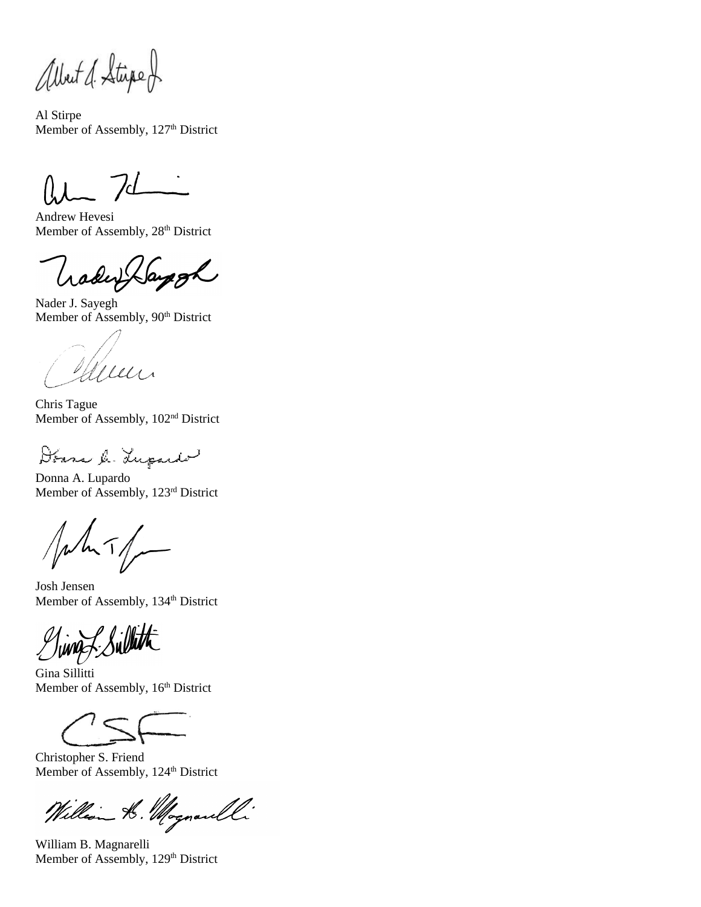albert d. Stipe J.

Al Stirpe Member of Assembly, 127<sup>th</sup> District

Andrew Hevesi Member of Assembly, 28<sup>th</sup> District

hadwig Say gh

Nader J. Sayegh Member of Assembly, 90<sup>th</sup> District

Mun

Chris Tague Member of Assembly, 102nd District

Donne le Lupselv

Donna A. Lupardo Member of Assembly, 123rd District

 $\sqrt{\mu h}$ 

Josh Jensen Member of Assembly, 134<sup>th</sup> District

Gina Sillitti Member of Assembly, 16<sup>th</sup> District

Christopher S. Friend Member of Assembly, 124<sup>th</sup> District

William A. Mognaull

William B. Magnarelli Member of Assembly, 129<sup>th</sup> District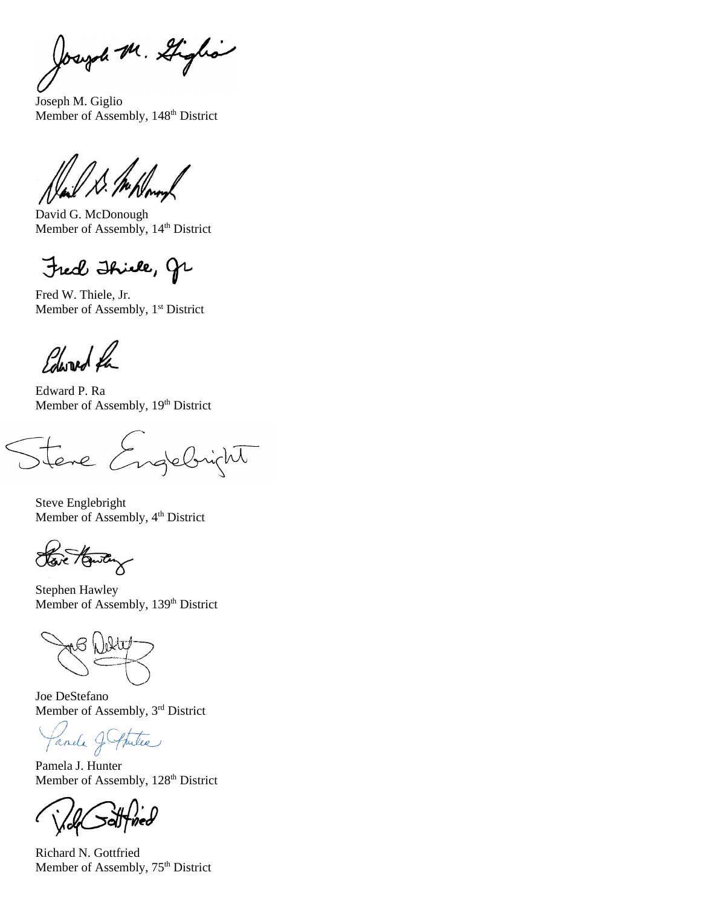Joseph M. Giglia

Joseph M. Giglio Member of Assembly, 148<sup>th</sup> District

David G. McDonough Member of Assembly, 14th District

Fred Thicle, gr

Fred W. Thiele, Jr. Member of Assembly, 1<sup>st</sup> District

Polisond fa

Edward P. Ra Member of Assembly, 19th District

Tene Engelsinght

Steve Englebright Member of Assembly,  $4<sup>th</sup>$  District

Have Howton

Stephen Hawley Member of Assembly, 139<sup>th</sup> District

Joe DeStefano Member of Assembly, 3rd District

Panele J Stutee

Pamela J. Hunter Member of Assembly, 128<sup>th</sup> District

Richard N. Gottfried Member of Assembly, 75<sup>th</sup> District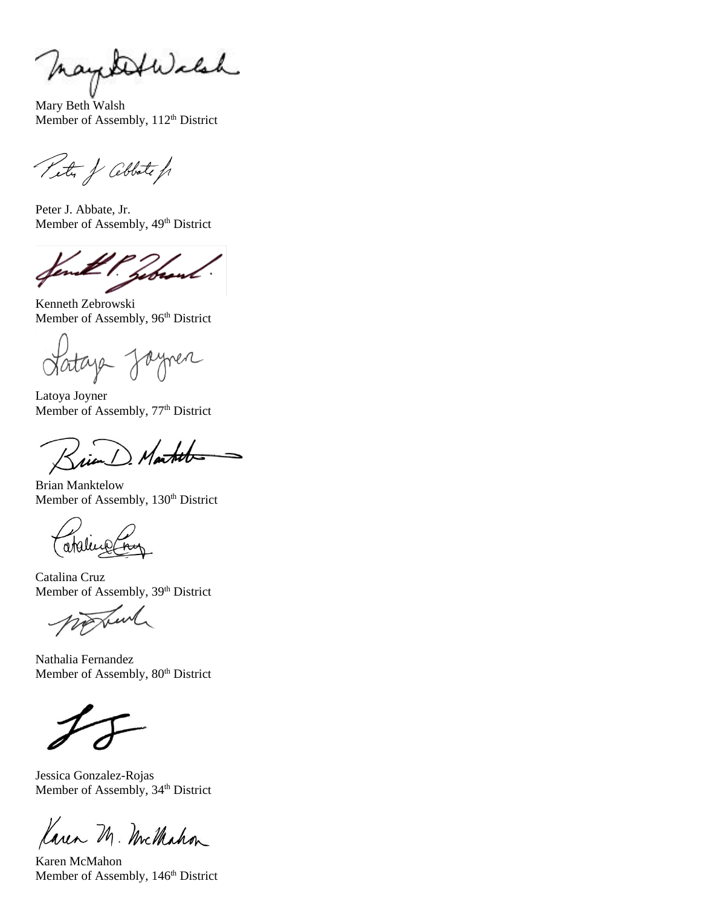maybellach

Mary Beth Walsh Member of Assembly, 112<sup>th</sup> District

Peter of Cebbate fr

Peter J. Abbate, Jr. Member of Assembly,  $49<sup>th</sup>$  District

Kenneth Zebrowski Member of Assembly, 96<sup>th</sup> District

atage Jaymen

Latoya Joyner Member of Assembly, 77<sup>th</sup> District

Market

Brian Manktelow Member of Assembly, 130<sup>th</sup> District

ataline

Catalina Cruz Member of Assembly, 39<sup>th</sup> District

notral

Nathalia Fernandez Member of Assembly,  $80<sup>th</sup>$  District

Jessica Gonzalez-Rojas Member of Assembly, 34<sup>th</sup> District

Karen M. Michahon

Karen McMahon Member of Assembly, 146<sup>th</sup> District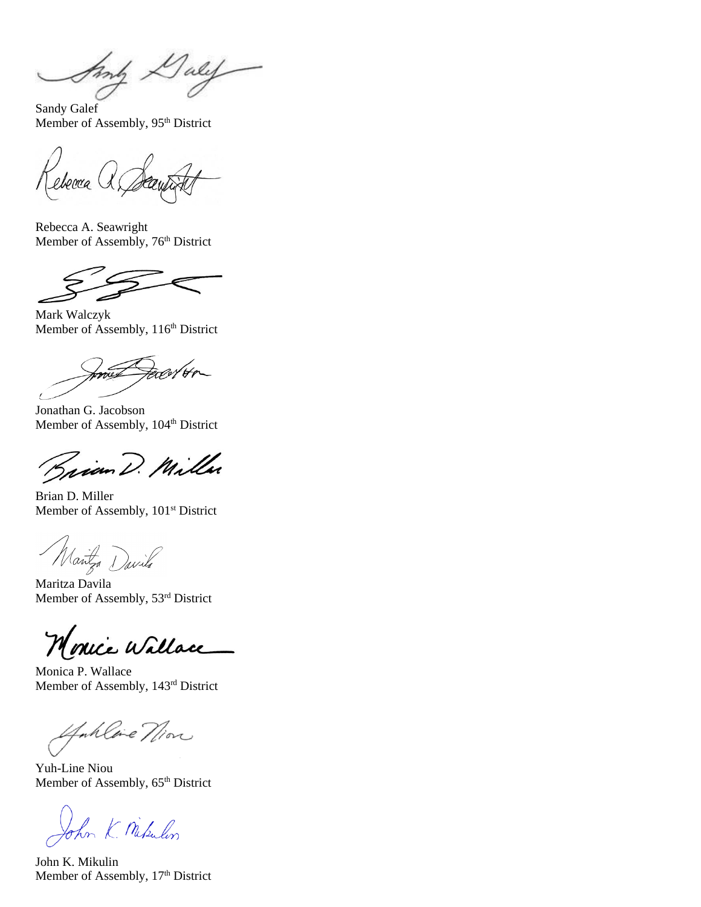Any Daly

Sandy Galef Member of Assembly, 95<sup>th</sup> District

ebecca (

Rebecca A. Seawright Member of Assembly, 76<sup>th</sup> District

Mark Walczyk Member of Assembly, 116<sup>th</sup> District

Facult Hr

Jonathan G. Jacobson Member of Assembly, 104<sup>th</sup> District

Brian D. Miller

Brian D. Miller Member of Assembly, 101<sup>st</sup> District

Wantza Davila

Maritza Davila Member of Assembly, 53rd District

Monice Wallace

Monica P. Wallace Member of Assembly, 143rd District

Anhline Nion

Yuh-Line Niou Member of Assembly, 65<sup>th</sup> District

John K. Mikulin

John K. Mikulin Member of Assembly, 17th District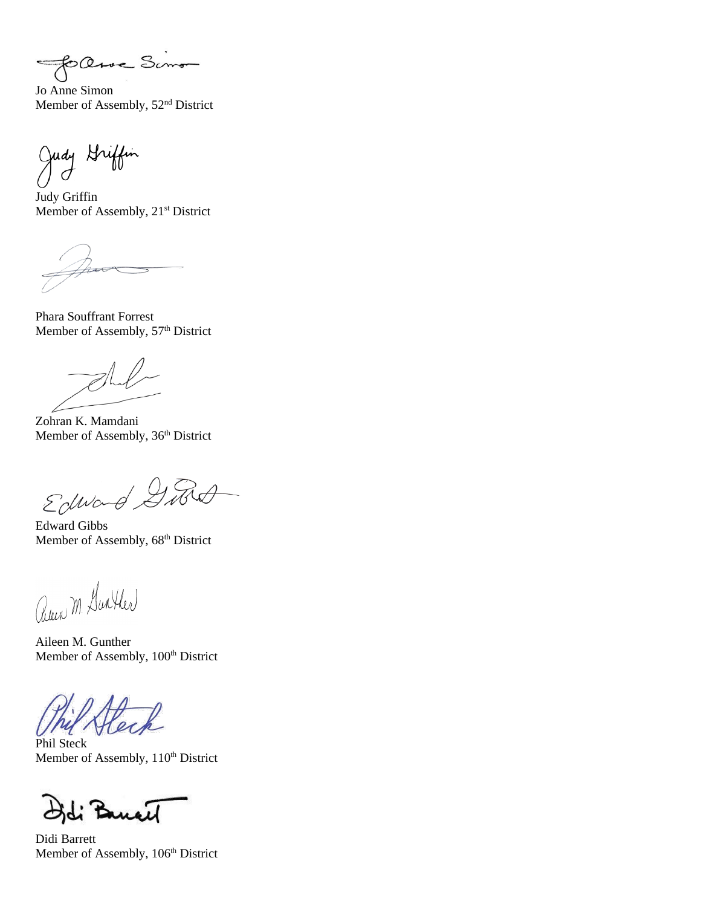followe Simon

Jo Anne Simon Member of Assembly, 52<sup>nd</sup> District

Judy Griffin

Judy Griffin Member of Assembly, 21<sup>st</sup> District

Phara Souffrant Forrest Member of Assembly, 57<sup>th</sup> District

Zohran K. Mamdani Member of Assembly, 36<sup>th</sup> District

Edward 2 Ret

Edward Gibbs Member of Assembly,  $68<sup>th</sup>$  District

Queen M. Gurtler

Aileen M. Gunther Member of Assembly, 100<sup>th</sup> District

Phil Steck Member of Assembly, 110<sup>th</sup> District

Bruci

Didi Barrett Member of Assembly, 106<sup>th</sup> District